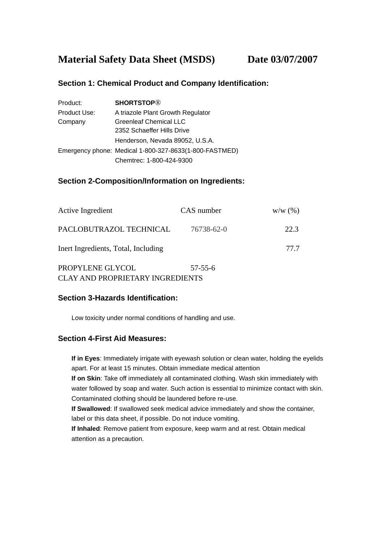# **Material Safety Data Sheet (MSDS) Date 03/07/2007**

## **Section 1: Chemical Product and Company Identification:**

| Product:     | <b>SHORTSTOP®</b>                                      |  |  |
|--------------|--------------------------------------------------------|--|--|
| Product Use: | A triazole Plant Growth Regulator                      |  |  |
| Company      | <b>Greenleaf Chemical LLC</b>                          |  |  |
|              | 2352 Schaeffer Hills Drive                             |  |  |
|              | Henderson, Nevada 89052, U.S.A.                        |  |  |
|              | Emergency phone: Medical 1-800-327-8633(1-800-FASTMED) |  |  |
|              | Chemtrec: 1-800-424-9300                               |  |  |

## **Section 2-Composition/Information on Ingredients:**

| Active Ingredient                   | CAS number    | W/W(%) |
|-------------------------------------|---------------|--------|
| PACLOBUTRAZOL TECHNICAL             | 76738-62-0    | 22.3   |
| Inert Ingredients, Total, Including |               | 77.7   |
| PROPYLENE GLYCOL                    | $57 - 55 - 6$ |        |

CLAY AND PROPRIETARY INGREDIENTS

## **Section 3-Hazards Identification:**

Low toxicity under normal conditions of handling and use.

## **Section 4-First Aid Measures:**

**If in Eyes**: Immediately irrigate with eyewash solution or clean water, holding the eyelids apart. For at least 15 minutes. Obtain immediate medical attention

**If on Skin**: Take off immediately all contaminated clothing. Wash skin immediately with water followed by soap and water. Such action is essential to minimize contact with skin. Contaminated clothing should be laundered before re-use.

**If Swallowed**: If swallowed seek medical advice immediately and show the container, label or this data sheet, if possible. Do not induce vomiting.

**If Inhaled**: Remove patient from exposure, keep warm and at rest. Obtain medical attention as a precaution.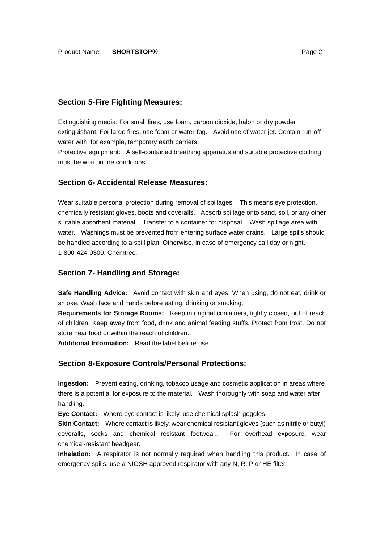### **Section 5-Fire Fighting Measures:**

Extinguishing media: For small fires, use foam, carbon dioxide, halon or dry powder extinguishant. For large fires, use foam or water-fog. Avoid use of water jet. Contain run-off water with, for example, temporary earth barriers.

Protective equipment: A self-contained breathing apparatus and suitable protective clothing must be worn in fire conditions.

### **Section 6- Accidental Release Measures:**

Wear suitable personal protection during removal of spillages. This means eye protection, chemically resistant gloves, boots and coveralls. Absorb spillage onto sand, soil, or any other suitable absorbent material. Transfer to a container for disposal. Wash spillage area with water. Washings must be prevented from entering surface water drains. Large spills should be handled according to a spill plan. Otherwise, in case of emergency call day or night, 1-800-424-9300, Chemtrec.

#### **Section 7- Handling and Storage:**

**Safe Handling Advice:** Avoid contact with skin and eyes. When using, do not eat, drink or smoke. Wash face and hands before eating, drinking or smoking.

**Requirements for Storage Rooms:** Keep in original containers, tightly closed, out of reach of children. Keep away from food, drink and animal feeding stuffs. Protect from frost. Do not store near food or within the reach of children.

**Additional Information:** Read the label before use.

#### **Section 8-Exposure Controls/Personal Protections:**

**Ingestion:** Prevent eating, drinking, tobacco usage and cosmetic application in areas where there is a potential for exposure to the material. Wash thoroughly with soap and water after handling.

**Eye Contact:** Where eye contact is likely, use chemical splash goggles.

**Skin Contact:** Where contact is likely, wear chemical resistant gloves (such as nitrile or butyl) coveralls, socks and chemical resistant footwear.. For overhead exposure, wear chemical-resistant headgear.

**Inhalation:** A respirator is not normally required when handling this product. In case of emergency spills, use a NIOSH approved respirator with any N, R, P or HE filter.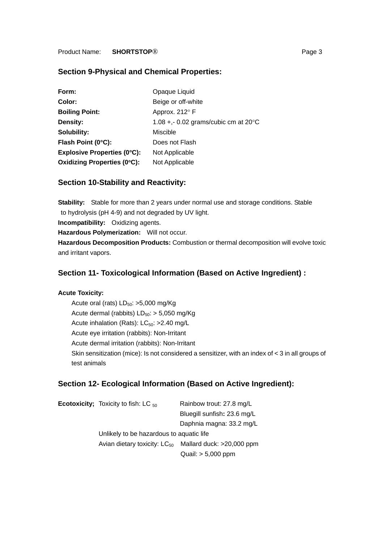## **Section 9-Physical and Chemical Properties:**

| Form:                              | Opaque Liquid                                  |
|------------------------------------|------------------------------------------------|
| Color:                             | Beige or off-white                             |
| <b>Boiling Point:</b>              | Approx. 212° F                                 |
| Density:                           | 1.08 +,- 0.02 grams/cubic cm at $20^{\circ}$ C |
| Solubility:                        | Miscible                                       |
| Flash Point (0°C):                 | Does not Flash                                 |
| <b>Explosive Properties (0°C):</b> | Not Applicable                                 |
| <b>Oxidizing Properties (0°C):</b> | Not Applicable                                 |

## **Section 10-Stability and Reactivity:**

**Stability:** Stable for more than 2 years under normal use and storage conditions. Stable to hydrolysis (pH 4-9) and not degraded by UV light. **Incompatibility:** Oxidizing agents. **Hazardous Polymerization:** Will not occur. **Hazardous Decomposition Products:** Combustion or thermal decomposition will evolve toxic and irritant vapors.

## **Section 11- Toxicological Information (Based on Active Ingredient) :**

#### **Acute Toxicity:**

Acute oral (rats)  $LD_{50}$ : >5,000 mg/Kg Acute dermal (rabbits)  $LD_{50}$ : > 5,050 mg/Kg Acute inhalation (Rats):  $LC_{50}$ : >2.40 mg/L Acute eye irritation (rabbits): Non-Irritant Acute dermal irritation (rabbits): Non-Irritant Skin sensitization (mice): Is not considered a sensitizer, with an index of < 3 in all groups of test animals

## **Section 12- Ecological Information (Based on Active Ingredient):**

| <b>Ecotoxicity;</b> Toxicity to fish: LC $_{50}$ | Rainbow trout: 27.8 mg/L    |  |
|--------------------------------------------------|-----------------------------|--|
|                                                  | Bluegill sunfish: 23.6 mg/L |  |
|                                                  | Daphnia magna: 33.2 mg/L    |  |
| Unlikely to be hazardous to aquatic life         |                             |  |
| Avian dietary toxicity: $LC_{50}$                | Mallard duck: >20,000 ppm   |  |
|                                                  | Quail: > 5,000 ppm          |  |